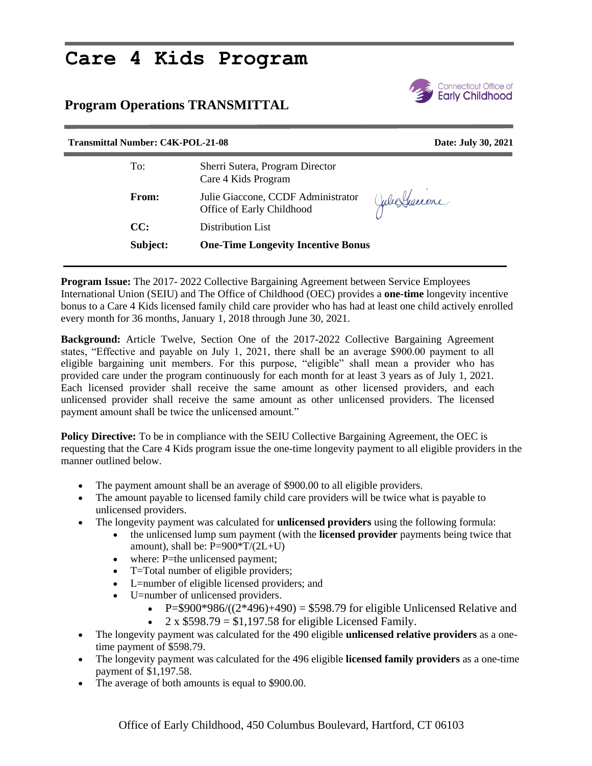## **Care 4 Kids Program**

## **Program Operations TRANSMITTAL**



## **Transmittal Number: C4K-POL-21-08 Date: July 30, 2021** To: Sherri Sutera, Program Director Care 4 Kids Program Julie Graccone **From:** Julie Giaccone, CCDF Administrator Office of Early Childhood **CC:** Distribution List **Subject: One-Time Longevity Incentive Bonus**

**Program Issue:** The 2017- 2022 Collective Bargaining Agreement between Service Employees International Union (SEIU) and The Office of Childhood (OEC) provides a **one-time** longevity incentive bonus to a Care 4 Kids licensed family child care provider who has had at least one child actively enrolled every month for 36 months, January 1, 2018 through June 30, 2021.

**Background:** Article Twelve, Section One of the 2017-2022 Collective Bargaining Agreement states, "Effective and payable on July 1, 2021, there shall be an average \$900.00 payment to all eligible bargaining unit members. For this purpose, "eligible" shall mean a provider who has provided care under the program continuously for each month for at least 3 years as of July 1, 2021. Each licensed provider shall receive the same amount as other licensed providers, and each unlicensed provider shall receive the same amount as other unlicensed providers. The licensed payment amount shall be twice the unlicensed amount."

**Policy Directive:** To be in compliance with the SEIU Collective Bargaining Agreement, the OEC is requesting that the Care 4 Kids program issue the one-time longevity payment to all eligible providers in the manner outlined below.

- The payment amount shall be an average of \$900.00 to all eligible providers.
- The amount payable to licensed family child care providers will be twice what is payable to unlicensed providers.
- The longevity payment was calculated for **unlicensed providers** using the following formula:
	- the unlicensed lump sum payment (with the **licensed provider** payments being twice that amount), shall be:  $P=900*T/(2L+U)$
	- where: P=the unlicensed payment;
	- T=Total number of eligible providers;
	- L=number of eligible licensed providers; and
	- U=number of unlicensed providers.
		- P=\$900\*986/ $((2*496)+490)$  = \$598.79 for eligible Unlicensed Relative and
		- $2 \times $598.79 = $1,197.58$  for eligible Licensed Family.
- The longevity payment was calculated for the 490 eligible **unlicensed relative providers** as a onetime payment of \$598.79.
- The longevity payment was calculated for the 496 eligible **licensed family providers** as a one-time payment of \$1,197.58.
- The average of both amounts is equal to \$900.00.